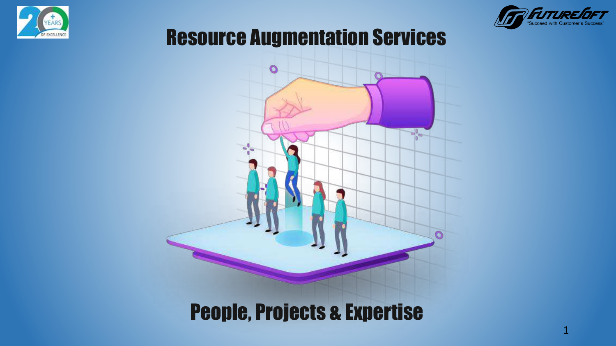



#### Resource Augmentation Services



### People, Projects & Expertise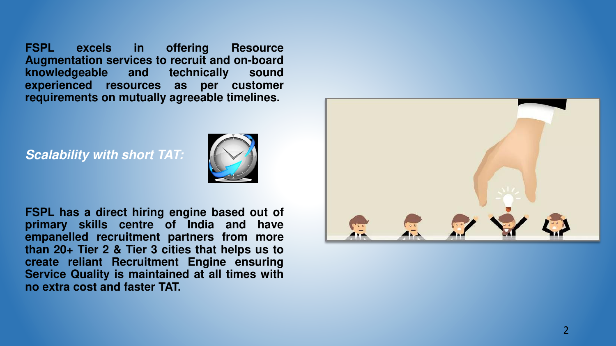**FSPL excels in offering Resource Augmentation services to recruit and on-board knowledgeable and technically sound experienced resources as per customer requirements on mutually agreeable timelines.**

*Scalability with short TAT:*



**FSPL has a direct hiring engine based out of primary skills centre of India and have empanelled recruitment partners from more than 20+ Tier 2 & Tier 3 cities that helps us to create reliant Recruitment Engine ensuring Service Quality is maintained at all times with no extra cost and faster TAT.**

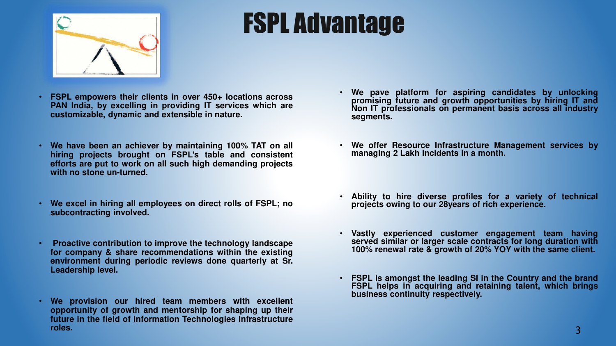

# FSPL Advantage

- **FSPL empowers their clients in over 450+ locations across PAN India, by excelling in providing IT services which are customizable, dynamic and extensible in nature.**
- **We have been an achiever by maintaining 100% TAT on all hiring projects brought on FSPL's table and consistent efforts are put to work on all such high demanding projects with no stone un-turned.**
- **We excel in hiring all employees on direct rolls of FSPL; no subcontracting involved.**
- **Proactive contribution to improve the technology landscape for company & share recommendations within the existing environment during periodic reviews done quarterly at Sr. Leadership level.**
- **We provision our hired team members with excellent opportunity of growth and mentorship for shaping up their future in the field of Information Technologies Infrastructure roles.**
- **We pave platform for aspiring candidates by unlocking promising future and growth opportunities by hiring IT and Non IT professionals on permanent basis across all industry segments.**
- **We offer Resource Infrastructure Management services by managing 2 Lakh incidents in a month.**
- **Ability to hire diverse profiles for a variety of technical projects owing to our 28years of rich experience.**
- **Vastly experienced customer engagement team having served similar or larger scale contracts for long duration with 100% renewal rate & growth of 20% YOY with the same client.**
- **FSPL is amongst the leading SI in the Country and the brand FSPL helps in acquiring and retaining talent, which brings business continuity respectively.**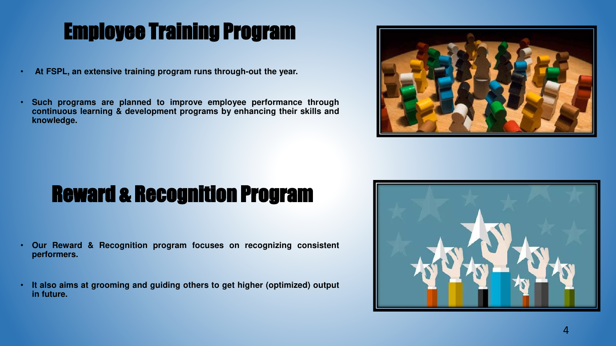# Employee Training Program

- **At FSPL, an extensive training program runs through-out the year.**
- **Such programs are planned to improve employee performance through continuous learning & development programs by enhancing their skills and knowledge.**



# Reward & Recognition Program

- **Our Reward & Recognition program focuses on recognizing consistent performers.**
- **It also aims at grooming and guiding others to get higher (optimized) output in future.**

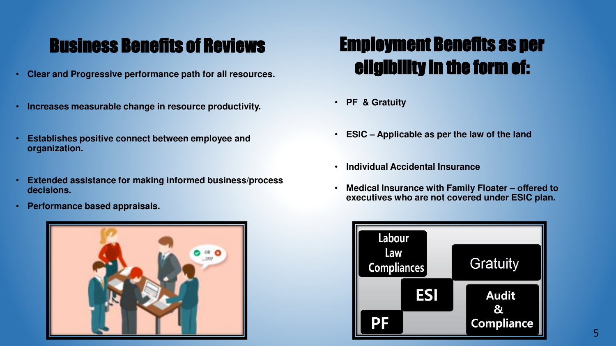#### Business Benefits of Reviews

- **Clear and Progressive performance path for all resources.**
- **Increases measurable change in resource productivity.**
- **Establishes positive connect between employee and organization.**
- **Extended assistance for making informed business/process decisions.**
- **Performance based appraisals.**



#### Employment Benefits as per eligibility in the form of:

- **PF & Gratuity**
- **ESIC – Applicable as per the law of the land**
- **Individual Accidental Insurance**
- **Medical Insurance with Family Floater offered to executives who are not covered under ESIC plan.**

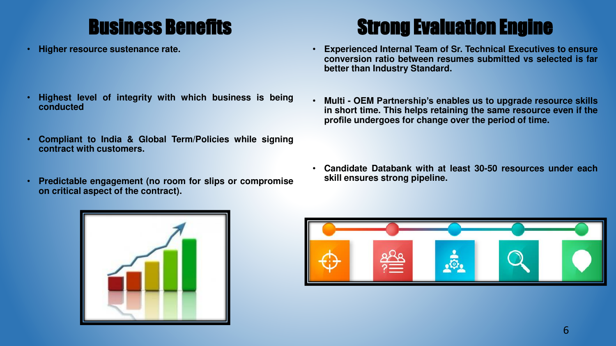### Business Benefits

• **Higher resource sustenance rate.**

- **Highest level of integrity with which business is being conducted**
- **Compliant to India & Global Term/Policies while signing contract with customers.**
- **Predictable engagement (no room for slips or compromise on critical aspect of the contract).**

## Strong Evaluation Engine

- **Experienced Internal Team of Sr. Technical Executives to ensure conversion ratio between resumes submitted vs selected is far better than Industry Standard.**
- **Multi OEM Partnership's enables us to upgrade resource skills in short time. This helps retaining the same resource even if the profile undergoes for change over the period of time.**

• **Candidate Databank with at least 30-50 resources under each skill ensures strong pipeline.**



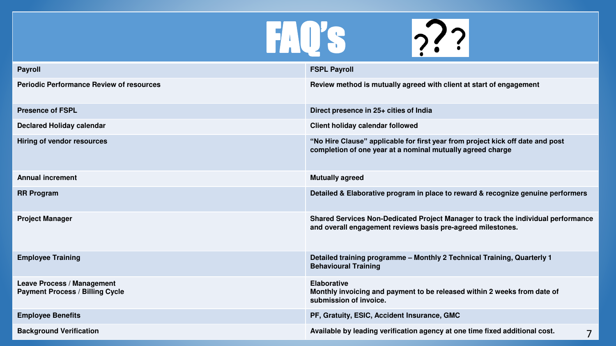

| <b>Payroll</b>                                                              | <b>FSPL Payroll</b>                                                                                                                              |
|-----------------------------------------------------------------------------|--------------------------------------------------------------------------------------------------------------------------------------------------|
| <b>Periodic Performance Review of resources</b>                             | Review method is mutually agreed with client at start of engagement                                                                              |
| <b>Presence of FSPL</b>                                                     | Direct presence in 25+ cities of India                                                                                                           |
| <b>Declared Holiday calendar</b>                                            | <b>Client holiday calendar followed</b>                                                                                                          |
| <b>Hiring of vendor resources</b>                                           | "No Hire Clause" applicable for first year from project kick off date and post<br>completion of one year at a nominal mutually agreed charge     |
| <b>Annual increment</b>                                                     | <b>Mutually agreed</b>                                                                                                                           |
| <b>RR Program</b>                                                           | Detailed & Elaborative program in place to reward & recognize genuine performers                                                                 |
| <b>Project Manager</b>                                                      | Shared Services Non-Dedicated Project Manager to track the individual performance<br>and overall engagement reviews basis pre-agreed milestones. |
| <b>Employee Training</b>                                                    | Detailed training programme - Monthly 2 Technical Training, Quarterly 1<br><b>Behavioural Training</b>                                           |
| <b>Leave Process / Management</b><br><b>Payment Process / Billing Cycle</b> | <b>Elaborative</b><br>Monthly invoicing and payment to be released within 2 weeks from date of<br>submission of invoice.                         |
| <b>Employee Benefits</b>                                                    | PF, Gratuity, ESIC, Accident Insurance, GMC                                                                                                      |
| <b>Background Verification</b>                                              | Available by leading verification agency at one time fixed additional cost.<br>7                                                                 |